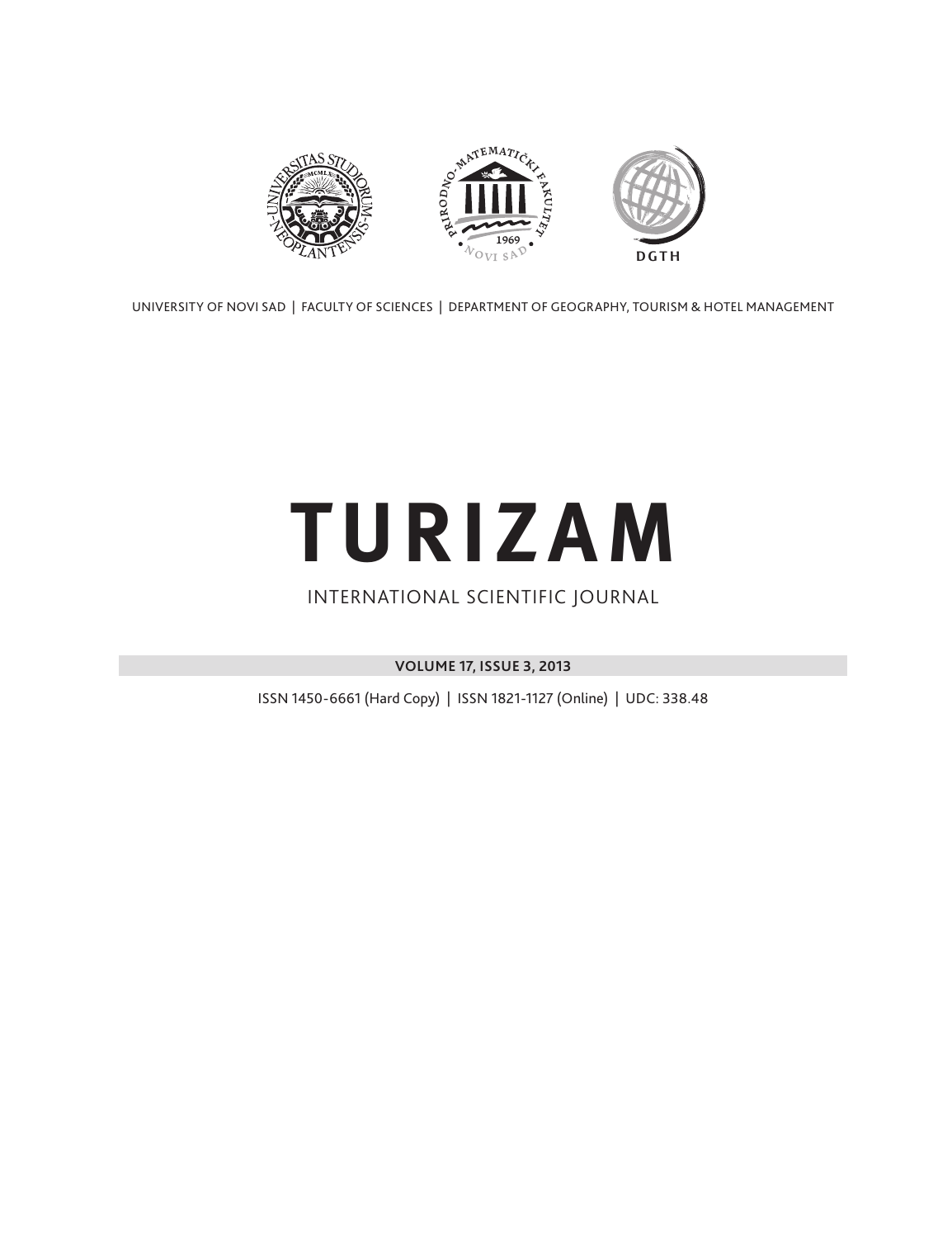

UNIVERSITY OF NOVI SAD | FACULTY OF SCIENCES | DEPARTMENT OF GEOGRAPHY, TOURISM & HOTEL MANAGEMENT

# **TURIZAM**

### INTERNATIONAL SCIENTIFIC JOURNAL

**VOLUME 17, ISSUE 3, 2013**

ISSN 1450-6661 (Hard Copy) | ISSN 1821-1127 (Online) | UDC: 338.48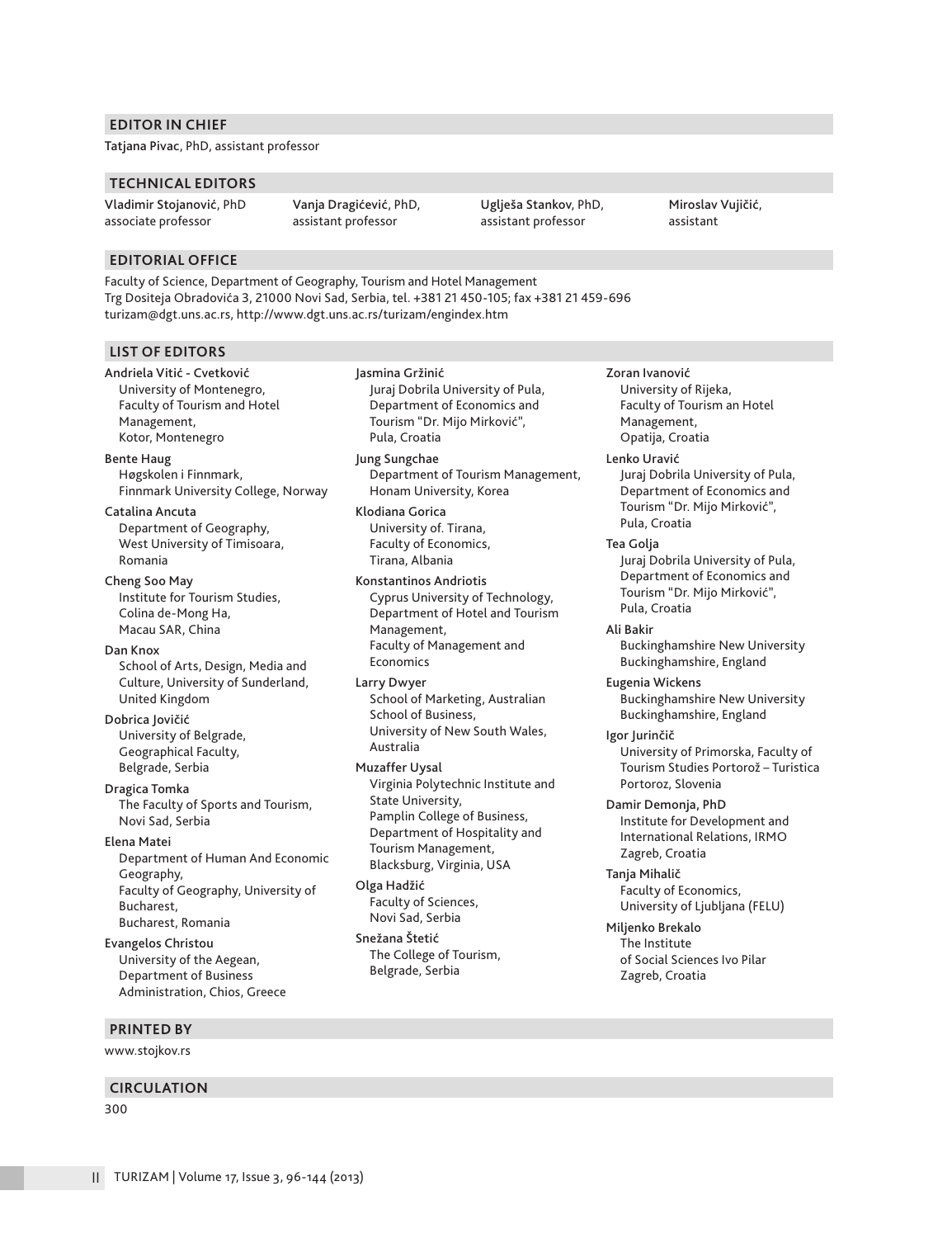#### **EDITOR IN CHIEF**

Tatjana Pivac, PhD, assistant professor

#### **TECHNICAL EDITORS**

Vladimir Stojanović, PhD associate professor

Vanja Dragićević, PhD, assistant professor

Uglješa Stankov, PhD, assistant professor

Miroslav Vujičić, assistant

#### **EDITORIAL OFFICE**

Faculty of Science, Department of Geography, Tourism and Hotel Management Trg Dositeja Obradovića 3, 21000 Novi Sad, Serbia, tel. +381 21 450-105; fax +381 21 459-696 turizam@dgt.uns.ac.rs, http://www.dgt.uns.ac.rs/turizam/engindex.htm

#### **LIST OF EDITORS**

Andriela Vitić - Cvetković University of Montenegro, Faculty of Tourism and Hotel Management, Kotor, Montenegro

Bente Haug Høgskolen i Finnmark, Finnmark University College, Norway

Catalina Ancuta Department of Geography, West University of Timisoara, Romania

Cheng Soo May Institute for Tourism Studies, Colina de-Mong Ha, Macau SAR, China

Dan Knox School of Arts, Design, Media and Culture, University of Sunderland, United Kingdom

Dobrica Jovičić University of Belgrade, Geographical Faculty, Belgrade, Serbia

Dragica Tomka The Faculty of Sports and Tourism, Novi Sad, Serbia

#### Elena Matei

Department of Human And Economic Geography, Faculty of Geography, University of Bucharest, Bucharest, Romania

Evangelos Christou University of the Aegean, Department of Business Administration, Chios, Greece

#### **PRINTED BY**

www.stojkov.rs

#### **CIRCULATION**

300

Jasmina Gržinić Juraj Dobrila University of Pula, Department of Economics and Tourism "Dr. Mijo Mirković", Pula, Croatia

Jung Sungchae Department of Tourism Management, Honam University, Korea

Klodiana Gorica University of. Tirana, Faculty of Economics, Tirana, Albania

Konstantinos Andriotis Cyprus University of Technology, Department of Hotel and Tourism Management, Faculty of Management and Economics

Larry Dwyer School of Marketing, Australian School of Business, University of New South Wales, Australia

Muzaffer Uysal Virginia Polytechnic Institute and State University, Pamplin College of Business, Department of Hospitality and Tourism Management, Blacksburg, Virginia, USA

Olga Hadžić Faculty of Sciences, Novi Sad, Serbia

Snežana Štetić The College of Tourism, Belgrade, Serbia

Zoran Ivanović University of Rijeka, Faculty of Tourism an Hotel Management, Opatija, Croatia

Lenko Uravić Juraj Dobrila University of Pula, Department of Economics and Tourism "Dr. Mijo Mirković", Pula, Croatia

Tea Golja Juraj Dobrila University of Pula, Department of Economics and Tourism "Dr. Mijo Mirković", Pula, Croatia

Ali Bakir Buckinghamshire New University Buckinghamshire, England

Eugenia Wickens Buckinghamshire New University Buckinghamshire, England

Igor Jurinčič

University of Primorska, Faculty of Tourism Studies Portorož – Turistica Portoroz, Slovenia

Damir Demonja, PhD Institute for Development and International Relations, IRMO Zagreb, Croatia

Tanja Mihalič Faculty of Economics, University of Ljubljana (FELU)

Miljenko Brekalo The Institute of Social Sciences Ivo Pilar Zagreb, Croatia